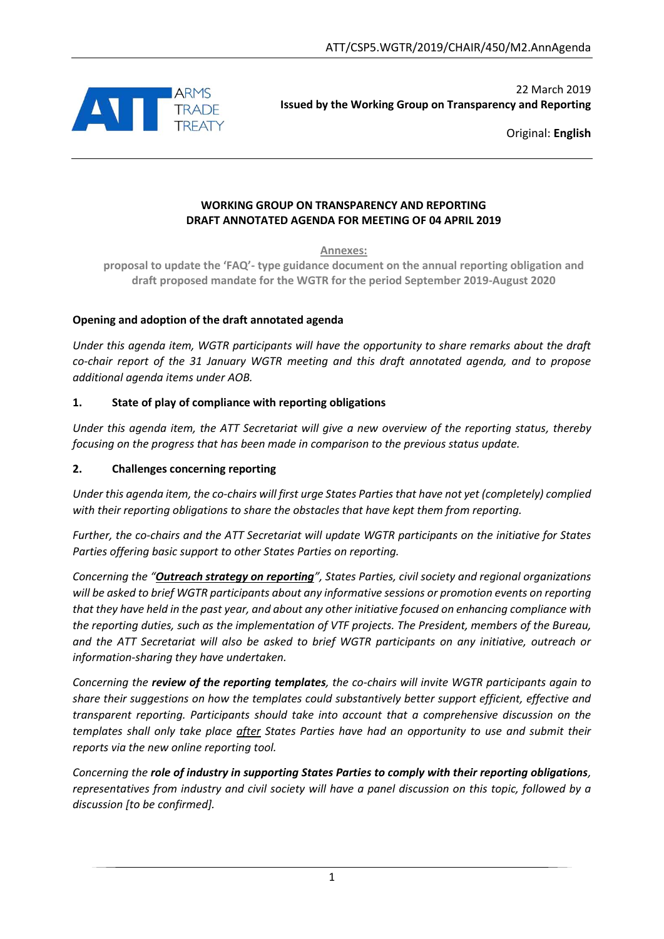

22 March 2019 **Issued by the Working Group on Transparency and Reporting**

Original: **English**

#### **WORKING GROUP ON TRANSPARENCY AND REPORTING DRAFT ANNOTATED AGENDA FOR MEETING OF 04 APRIL 2019**

**Annexes:**

**proposal to update the 'FAQ'- type guidance document on the annual reporting obligation and draft proposed mandate for the WGTR for the period September 2019-August 2020**

## **Opening and adoption of the draft annotated agenda**

*Under this agenda item, WGTR participants will have the opportunity to share remarks about the draft co-chair report of the 31 January WGTR meeting and this draft annotated agenda, and to propose additional agenda items under AOB.*

#### **1. State of play of compliance with reporting obligations**

*Under this agenda item, the ATT Secretariat will give a new overview of the reporting status, thereby focusing on the progress that has been made in comparison to the previous status update.*

#### **2. Challenges concerning reporting**

*Under this agenda item, the co-chairs will first urge States Parties that have not yet (completely) complied with their reporting obligations to share the obstacles that have kept them from reporting.* 

*Further, the co-chairs and the ATT Secretariat will update WGTR participants on the initiative for States Parties offering basic support to other States Parties on reporting.*

*Concerning the "Outreach strategy on reporting", States Parties, civil society and regional organizations will be asked to brief WGTR participants about any informative sessions or promotion events on reporting that they have held in the past year, and about any other initiative focused on enhancing compliance with the reporting duties, such as the implementation of VTF projects. The President, members of the Bureau, and the ATT Secretariat will also be asked to brief WGTR participants on any initiative, outreach or information-sharing they have undertaken.*

*Concerning the review of the reporting templates, the co-chairs will invite WGTR participants again to share their suggestions on how the templates could substantively better support efficient, effective and transparent reporting. Participants should take into account that a comprehensive discussion on the templates shall only take place after States Parties have had an opportunity to use and submit their reports via the new online reporting tool.*

*Concerning the role of industry in supporting States Parties to comply with their reporting obligations, representatives from industry and civil society will have a panel discussion on this topic, followed by a discussion [to be confirmed].* 

1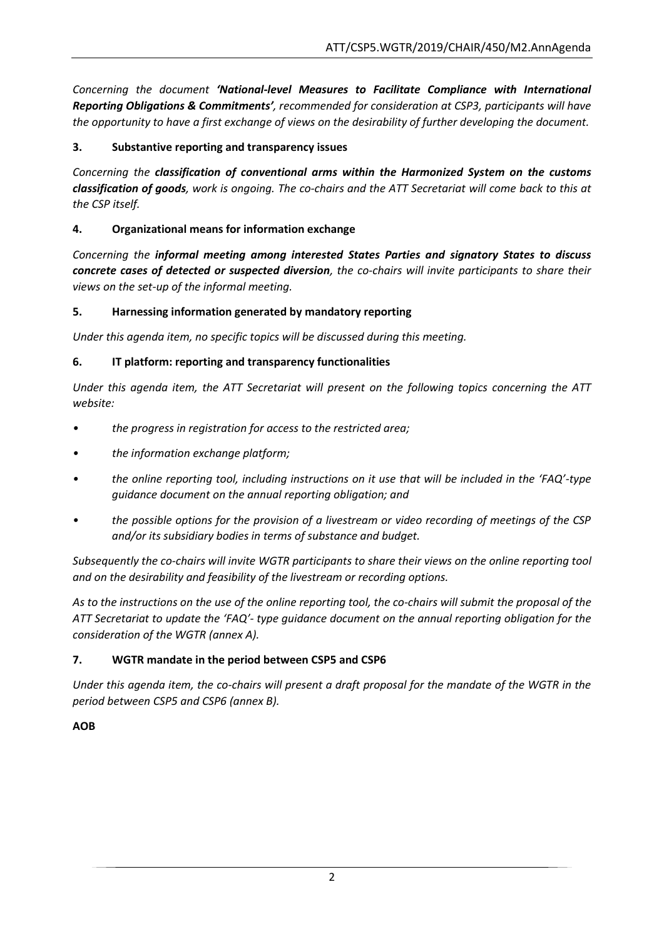*Concerning the document 'National-level Measures to Facilitate Compliance with International Reporting Obligations & Commitments', recommended for consideration at CSP3, participants will have the opportunity to have a first exchange of views on the desirability of further developing the document.*

# **3. Substantive reporting and transparency issues**

*Concerning the classification of conventional arms within the Harmonized System on the customs classification of goods, work is ongoing. The co-chairs and the ATT Secretariat will come back to this at the CSP itself.* 

# **4. Organizational means for information exchange**

*Concerning the informal meeting among interested States Parties and signatory States to discuss concrete cases of detected or suspected diversion, the co-chairs will invite participants to share their views on the set-up of the informal meeting.*

## **5. Harnessing information generated by mandatory reporting**

*Under this agenda item, no specific topics will be discussed during this meeting.*

## **6. IT platform: reporting and transparency functionalities**

*Under this agenda item, the ATT Secretariat will present on the following topics concerning the ATT website:*

- *• the progress in registration for access to the restricted area;*
- *• the information exchange platform;*
- *• the online reporting tool, including instructions on it use that will be included in the 'FAQ'-type guidance document on the annual reporting obligation; and*
- *• the possible options for the provision of a livestream or video recording of meetings of the CSP and/or its subsidiary bodies in terms of substance and budget.*

*Subsequently the co-chairs will invite WGTR participants to share their views on the online reporting tool and on the desirability and feasibility of the livestream or recording options.*

As to the instructions on the use of the online reporting tool, the co-chairs will submit the proposal of the *ATT Secretariat to update the 'FAQ'- type guidance document on the annual reporting obligation for the consideration of the WGTR (annex A).*

## **7. WGTR mandate in the period between CSP5 and CSP6**

*Under this agenda item, the co-chairs will present a draft proposal for the mandate of the WGTR in the period between CSP5 and CSP6 (annex B).*

## **AOB**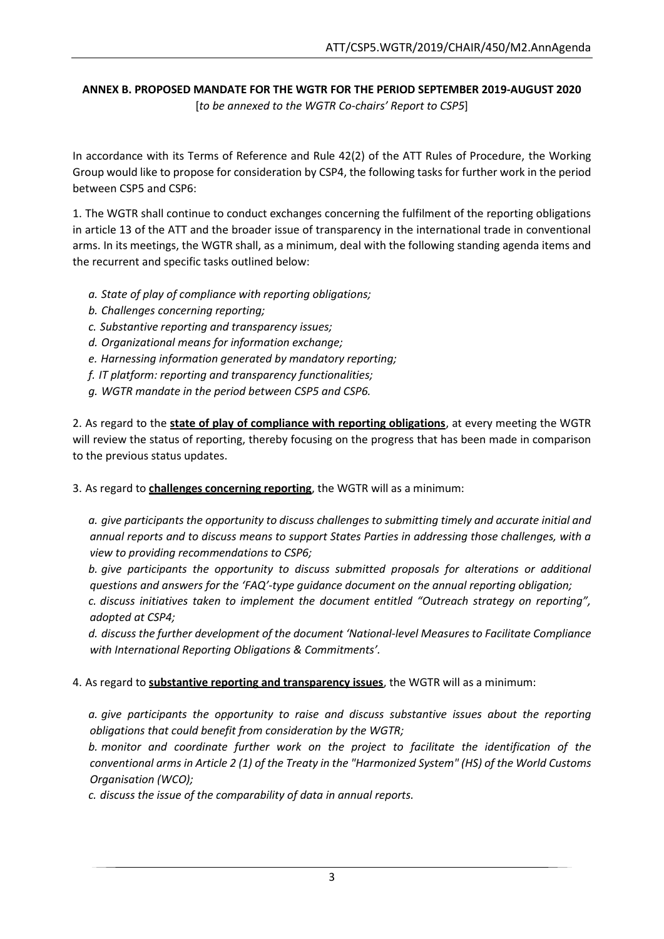## **ANNEX B. PROPOSED MANDATE FOR THE WGTR FOR THE PERIOD SEPTEMBER 2019-AUGUST 2020** [*to be annexed to the WGTR Co-chairs' Report to CSP5*]

In accordance with its Terms of Reference and Rule 42(2) of the ATT Rules of Procedure, the Working Group would like to propose for consideration by CSP4, the following tasks for further work in the period between CSP5 and CSP6:

1. The WGTR shall continue to conduct exchanges concerning the fulfilment of the reporting obligations in article 13 of the ATT and the broader issue of transparency in the international trade in conventional arms. In its meetings, the WGTR shall, as a minimum, deal with the following standing agenda items and the recurrent and specific tasks outlined below:

- *a. State of play of compliance with reporting obligations;*
- *b. Challenges concerning reporting;*
- *c. Substantive reporting and transparency issues;*
- *d. Organizational means for information exchange;*
- *e. Harnessing information generated by mandatory reporting;*
- *f. IT platform: reporting and transparency functionalities;*
- *g. WGTR mandate in the period between CSP5 and CSP6.*

2. As regard to the **state of play of compliance with reporting obligations**, at every meeting the WGTR will review the status of reporting, thereby focusing on the progress that has been made in comparison to the previous status updates.

3. As regard to **challenges concerning reporting**, the WGTR will as a minimum:

*a. give participants the opportunity to discuss challenges to submitting timely and accurate initial and annual reports and to discuss means to support States Parties in addressing those challenges, with a view to providing recommendations to CSP6;*

*b. give participants the opportunity to discuss submitted proposals for alterations or additional questions and answers for the 'FAQ'-type guidance document on the annual reporting obligation;*

*c. discuss initiatives taken to implement the document entitled "Outreach strategy on reporting", adopted at CSP4;* 

*d. discuss the further development of the document 'National-level Measures to Facilitate Compliance with International Reporting Obligations & Commitments'.*

4. As regard to **substantive reporting and transparency issues**, the WGTR will as a minimum:

*a. give participants the opportunity to raise and discuss substantive issues about the reporting obligations that could benefit from consideration by the WGTR;*

*b. monitor and coordinate further work on the project to facilitate the identification of the conventional arms in Article 2 (1) of the Treaty in the "Harmonized System" (HS) of the World Customs Organisation (WCO);*

*c. discuss the issue of the comparability of data in annual reports.*